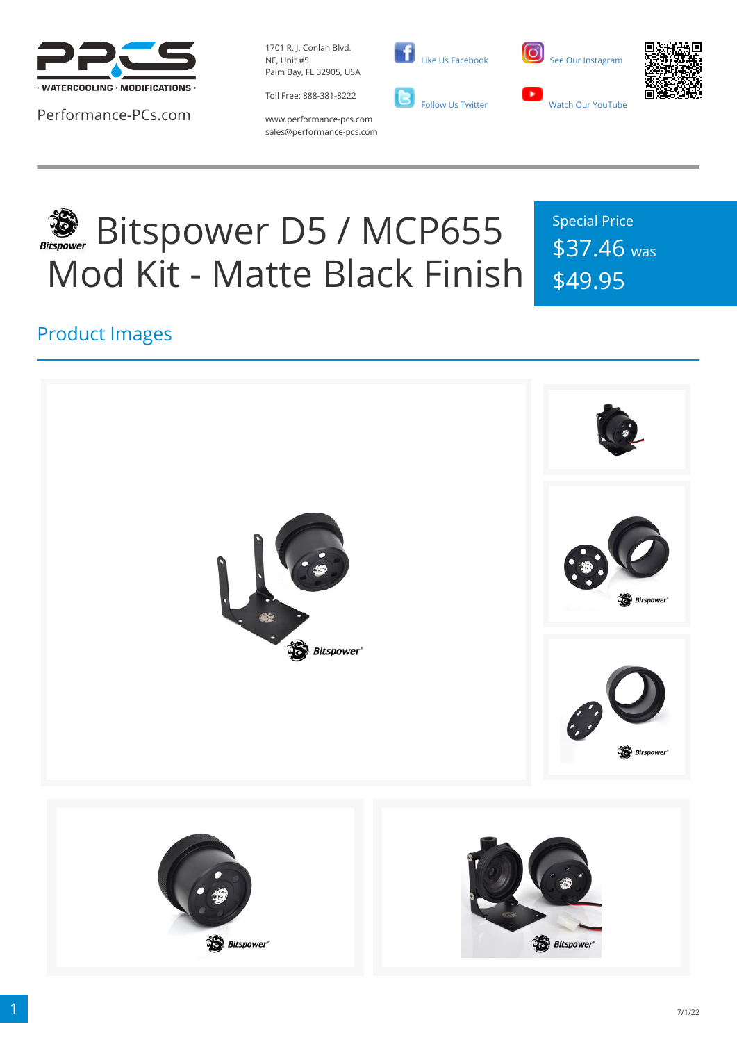

Performance-PCs.com

1701 R. J. Conlan Blvd. NE, Unit #5 Palm Bay, FL 32905, USA

Toll Free: 888-381-8222







www.performance-pcs.com sales@performance-pcs.com

# Bitspower D5 / MCP655 Mod Kit - Matte Black Finish

Special Price \$37.46 was \$49.95

#### Product Images

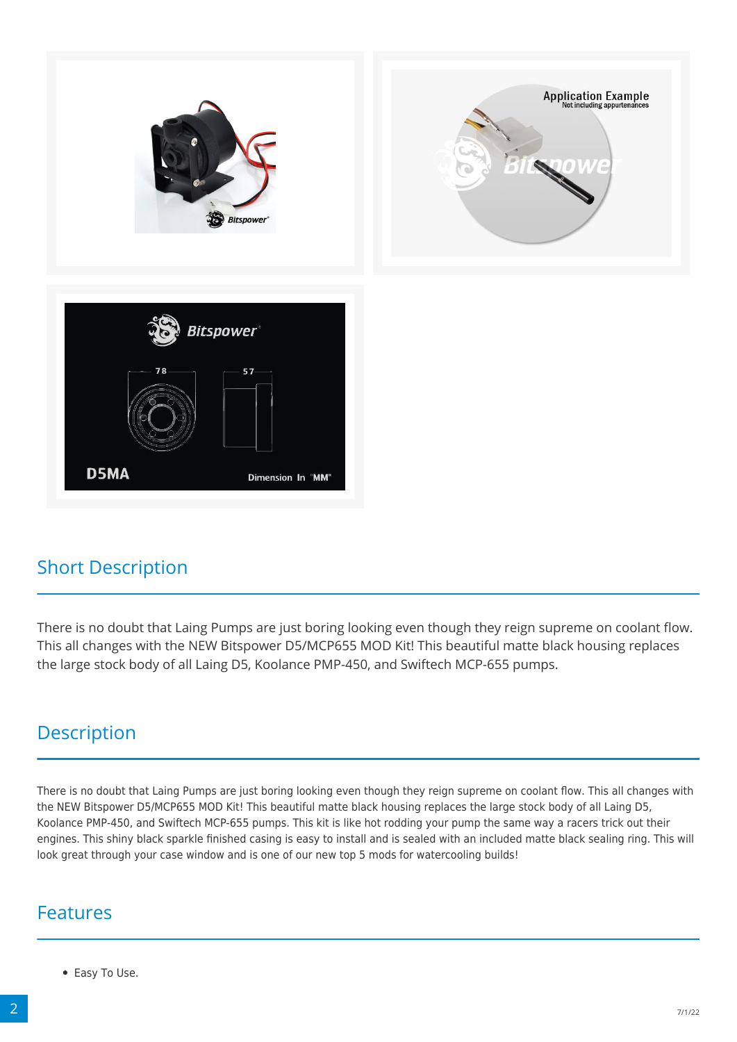

#### Short Description

There is no doubt that Laing Pumps are just boring looking even though they reign supreme on coolant flow. This all changes with the NEW Bitspower D5/MCP655 MOD Kit! This beautiful matte black housing replaces the large stock body of all Laing D5, Koolance PMP-450, and Swiftech MCP-655 pumps.

#### **Description**

There is no doubt that Laing Pumps are just boring looking even though they reign supreme on coolant flow. This all changes with the NEW Bitspower D5/MCP655 MOD Kit! This beautiful matte black housing replaces the large stock body of all Laing D5, Koolance PMP-450, and Swiftech MCP-655 pumps. This kit is like hot rodding your pump the same way a racers trick out their engines. This shiny black sparkle finished casing is easy to install and is sealed with an included matte black sealing ring. This will look great through your case window and is one of our new top 5 mods for watercooling builds!

#### Features

• Easy To Use.